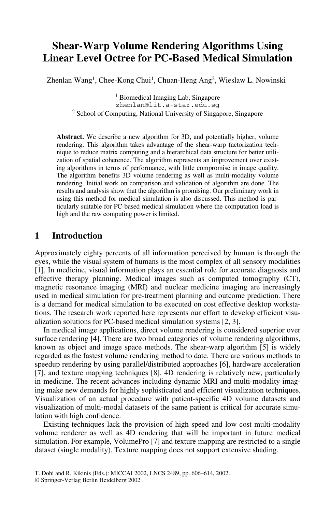# **Shear-Warp Volume Rendering Algorithms Using Linear Level Octree for PC-Based Medical Simulation**

Zhenlan Wang<sup>1</sup>, Chee-Kong Chui<sup>1</sup>, Chuan-Heng Ang<sup>2</sup>, Wieslaw L. Nowinski<sup>1</sup>

<sup>1</sup> Biomedical Imaging Lab, Singapore zhenlan@lit.a-star.edu.sg 2 School of Computing, National University of Singapore, Singapore

**Abstract.** We describe a new algorithm for 3D, and potentially higher, volume rendering. This algorithm takes advantage of the shear-warp factorization technique to reduce matrix computing and a hierarchical data structure for better utilization of spatial coherence. The algorithm represents an improvement over existing algorithms in terms of performance, with little compromise in image quality. The algorithm benefits 3D volume rendering as well as multi-modality volume rendering. Initial work on comparison and validation of algorithm are done. The results and analysis show that the algorithm is promising. Our preliminary work in using this method for medical simulation is also discussed. This method is particularly suitable for PC-based medical simulation where the computation load is high and the raw computing power is limited.

## **1 Introduction**

Approximately eighty percents of all information perceived by human is through the eyes, while the visual system of humans is the most complex of all sensory modalities [1]. In medicine, visual information plays an essential role for accurate diagnosis and effective therapy planning. Medical images such as computed tomography (CT), magnetic resonance imaging (MRI) and nuclear medicine imaging are increasingly used in medical simulation for pre-treatment planning and outcome prediction. There is a demand for medical simulation to be executed on cost effective desktop workstations. The research work reported here represents our effort to develop efficient visualization solutions for PC-based medical simulation systems [2, 3].

In medical image applications, direct volume rendering is considered superior over surface rendering [4]. There are two broad categories of volume rendering algorithms, known as object and image space methods. The shear-warp algorithm [5] is widely regarded as the fastest volume rendering method to date. There are various methods to speedup rendering by using parallel/distributed approaches [6], hardware acceleration [7], and texture mapping techniques [8]. 4D rendering is relatively new, particularly in medicine. The recent advances including dynamic MRI and multi-modality imaging make new demands for highly sophisticated and efficient visualization techniques. Visualization of an actual procedure with patient-specific 4D volume datasets and visualization of multi-modal datasets of the same patient is critical for accurate simulation with high confidence.

Existing techniques lack the provision of high speed and low cost multi-modality volume renderer as well as 4D rendering that will be important in future medical simulation. For example, VolumePro [7] and texture mapping are restricted to a single dataset (single modality). Texture mapping does not support extensive shading.

T. Dohi and R. Kikinis (Eds.): MICCAI 2002, LNCS 2489, pp. 606–614, 2002.

<sup>©</sup> Springer-Verlag Berlin Heidelberg 2002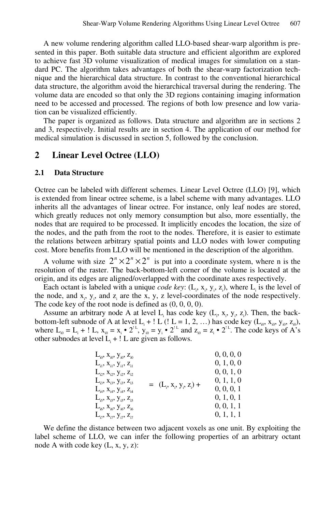A new volume rendering algorithm called LLO-based shear-warp algorithm is presented in this paper. Both suitable data structure and efficient algorithm are explored to achieve fast 3D volume visualization of medical images for simulation on a standard PC. The algorithm takes advantages of both the shear-warp factorization technique and the hierarchical data structure. In contrast to the conventional hierarchical data structure, the algorithm avoid the hierarchical traversal during the rendering. The volume data are encoded so that only the 3D regions containing imaging information need to be accessed and processed. The regions of both low presence and low variation can be visualized efficiently.

The paper is organized as follows. Data structure and algorithm are in sections 2 and 3, respectively. Initial results are in section 4. The application of our method for medical simulation is discussed in section 5, followed by the conclusion.

### **2 Linear Level Octree (LLO)**

#### **2.1 Data Structure**

Octree can be labeled with different schemes. Linear Level Octree (LLO) [9], which is extended from linear octree scheme, is a label scheme with many advantages. LLO inherits all the advantages of linear octree. For instance, only leaf nodes are stored, which greatly reduces not only memory consumption but also, more essentially, the nodes that are required to be processed. It implicitly encodes the location, the size of the nodes, and the path from the root to the nodes. Therefore, it is easier to estimate the relations between arbitrary spatial points and LLO nodes with lower computing cost. More benefits from LLO will be mentioned in the description of the algorithm.

A volume with size  $2^n \times 2^n \times 2^n$  is put into a coordinate system, where n is the resolution of the raster. The back-bottom-left corner of the volume is located at the origin, and its edges are aligned/overlapped with the coordinate axes respectively.

Each octant is labeled with a unique *code key*:  $(L_i, x_i, y_i, z_i)$ , where  $L_i$  is the level of the node, and  $x_i$ ,  $y_i$ , and  $z_i$  are the x, y, z level-coordinates of the node respectively. The code key of the root node is defined as (0, 0, 0, 0).

Assume an arbitrary node A at level  $L_i$  has code key  $(L_i, x_i, y_i, z_i)$ . Then, the backbottom-left subnode of A at level  $L_i + \perp L$  ( $L = 1, 2, ...$ ) has code key  $(L_{i0}, x_{i0}, y_{i0}, z_{i0})$ , where  $L_{i0} = L_i + 1$ .  $X_{i0} = X_i \cdot 2^{1}$ ,  $Y_{i0} = Y_i \cdot 2^{1}$  and  $Z_{i0} = Z_i \cdot 2^{1}$ . The code keys of A's other subnodes at level  $L_i + l$  L are given as follows.

| $L_{i0}$ , $X_{i0}$ , $Y_{i0}$ , $Z_{i0}$                                          |                            | 0, 0, 0, 0               |
|------------------------------------------------------------------------------------|----------------------------|--------------------------|
| $L_{i1}$ , $X_{i1}$ , $Y_{i1}$ , $Z_{i1}$                                          |                            | 0, 1, 0, 0               |
| $L_{i2}, X_{i2}, Y_{i3}, Z_{i2}$                                                   |                            | 0, 0, 1, 0<br>0, 1, 1, 0 |
| $L_{a}$ , $X_{a}$ , $Y_{a}$ , $Z_{a}$<br>$L_{i4}$ , $X_{i4}$ , $Y_{i4}$ , $Z_{i4}$ | $= (L_1, x_1, y_1, z_1) +$ | 0, 0, 0, 1               |
| $L_{55}$ , $X_{55}$ , $Y_{55}$ , $Z_{55}$                                          |                            | 0, 1, 0, 1               |
| $L_{i6}$ , $X_{i6}$ , $Y_{i6}$ , $Z_{i6}$                                          |                            | 0, 0, 1, 1               |
| $L_{i7}$ , $X_{i7}$ , $Y_{i7}$ , $Z_{i7}$                                          |                            | 0, 1, 1, 1               |

We define the distance between two adjacent voxels as one unit. By exploiting the label scheme of LLO, we can infer the following properties of an arbitrary octant node A with code key (L, x, y, z):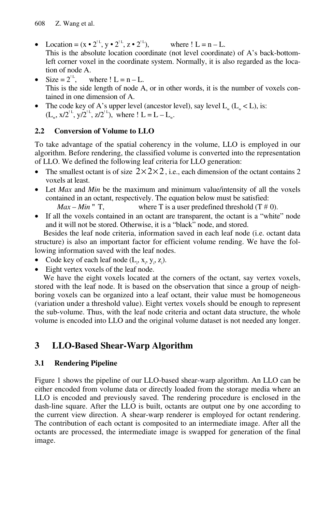- Location =  $(x \cdot 2^L, y \cdot 2^L, z \cdot 2^L)$ where  $! L = n - L$ . This is the absolute location coordinate (not level coordinate) of A's back-bottomleft corner voxel in the coordinate system. Normally, it is also regarded as the location of node A.
- Size =  $2^{L}$ where  $\overline{L} = n - L$ . This is the side length of node A, or in other words, it is the number of voxels contained in one dimension of A.
- The code key of A's upper level (ancestor level), say level  $L_w$  ( $L_w$  <  $L$ ), is:  $(L_w, x/2^L, y/2^L, z/2^L)$ , where  $L = L - L_w$ .

### **2.2 Conversion of Volume to LLO**

To take advantage of the spatial coherency in the volume, LLO is employed in our algorithm. Before rendering, the classified volume is converted into the representation of LLO. We defined the following leaf criteria for LLO generation:

- The smallest octant is of size  $2 \times 2 \times 2$ , i.e., each dimension of the octant contains 2 voxels at least.
- Let *Max* and *Min* be the maximum and minimum value/intensity of all the voxels contained in an octant, respectively. The equation below must be satisfied: *Max* – *Min*  $\mathbb{T}$ , where T is a user predefined threshold (T  $\#$  0).
- If all the voxels contained in an octant are transparent, the octant is a "white" node and it will not be stored. Otherwise, it is a "black" node, and stored.

Besides the leaf node criteria, information saved in each leaf node (i.e. octant data structure) is also an important factor for efficient volume rending. We have the following information saved with the leaf nodes.

- Code key of each leaf node  $(L_i, x_i, y_i, z_i)$ .
- Eight vertex voxels of the leaf node.

We have the eight voxels located at the corners of the octant, say vertex voxels, stored with the leaf node. It is based on the observation that since a group of neighboring voxels can be organized into a leaf octant, their value must be homogeneous (variation under a threshold value). Eight vertex voxels should be enough to represent the sub-volume. Thus, with the leaf node criteria and octant data structure, the whole volume is encoded into LLO and the original volume dataset is not needed any longer.

# **3 LLO-Based Shear-Warp Algorithm**

## **3.1 Rendering Pipeline**

Figure 1 shows the pipeline of our LLO-based shear-warp algorithm. An LLO can be either encoded from volume data or directly loaded from the storage media where an LLO is encoded and previously saved. The rendering procedure is enclosed in the dash-line square. After the LLO is built, octants are output one by one according to the current view direction. A shear-warp renderer is employed for octant rendering. The contribution of each octant is composited to an intermediate image. After all the octants are processed, the intermediate image is swapped for generation of the final image.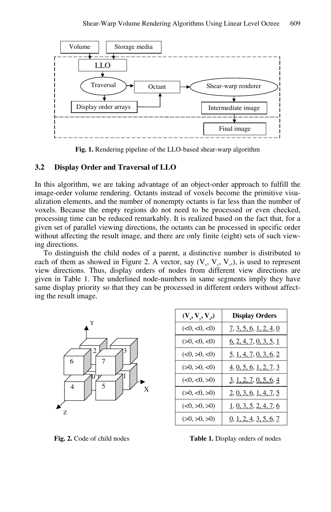

**Fig. 1.** Rendering pipeline of the LLO-based shear-warp algorithm

#### **3.2 Display Order and Traversal of LLO**

In this algorithm, we are taking advantage of an object-order approach to fulfill the image-order volume rendering. Octants instead of voxels become the primitive visualization elements, and the number of nonempty octants is far less than the number of voxels. Because the empty regions do not need to be processed or even checked, processing time can be reduced remarkably. It is realized based on the fact that, for a given set of parallel viewing directions, the octants can be processed in specific order without affecting the result image, and there are only finite (eight) sets of such viewing directions.

To distinguish the child nodes of a parent, a distinctive number is distributed to each of them as showed in Figure 2. A vector, say  $(V_x, V_y, V_z)$ , is used to represent view directions. Thus, display orders of nodes from different view directions are given in Table 1. The underlined node-numbers in same segments imply they have same display priority so that they can be processed in different orders without affecting the result image.



| $(V_{v}, V_{v}, V_{v})$ | <b>Display Orders</b>               |
|-------------------------|-------------------------------------|
| (<0, <0, <0)            | 7, 3, 5, 6, 1, 2, 4, 0              |
| (>0, <0, <0)            | 6, 2, 4, 7, 0, 3, 5, 1              |
| (<0, >0, <0)            | 5, 1, 4, 7, 0, 3, 6, 2              |
| (>0, >0, <0)            | $\frac{4}{9}$ , 0, 5, 6, 1, 2, 7, 3 |
| (<0, <0, >0)            | 3, 1, 2, 7, 0, 5, 6, 4              |
| (>0, <0, >0)            | 2, 0, 3, 6, 1, 4, 7, 5              |
| $(\le0, >0, >0)$        | 1, 0, 3, 5, 2, 4, 7, 6              |
| (>0, >0, >0)            | 0, 1, 2, 4, 3, 5, 6, 7              |

**Fig. 2.** Code of child nodes **Table 1.** Display orders of nodes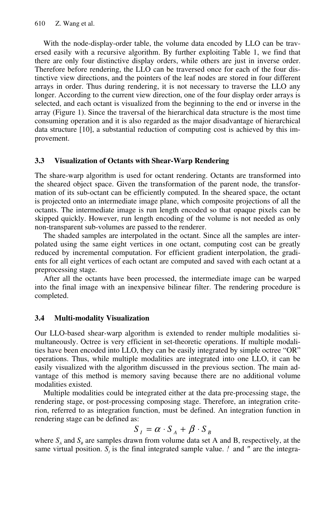With the node-display-order table, the volume data encoded by LLO can be traversed easily with a recursive algorithm. By further exploiting Table 1, we find that there are only four distinctive display orders, while others are just in inverse order. Therefore before rendering, the LLO can be traversed once for each of the four distinctive view directions, and the pointers of the leaf nodes are stored in four different arrays in order. Thus during rendering, it is not necessary to traverse the LLO any longer. According to the current view direction, one of the four display order arrays is selected, and each octant is visualized from the beginning to the end or inverse in the array (Figure 1). Since the traversal of the hierarchical data structure is the most time consuming operation and it is also regarded as the major disadvantage of hierarchical data structure [10], a substantial reduction of computing cost is achieved by this improvement.

#### **3.3 Visualization of Octants with Shear-Warp Rendering**

The share-warp algorithm is used for octant rendering. Octants are transformed into the sheared object space. Given the transformation of the parent node, the transformation of its sub-octant can be efficiently computed. In the sheared space, the octant is projected onto an intermediate image plane, which composite projections of all the octants. The intermediate image is run length encoded so that opaque pixels can be skipped quickly. However, run length encoding of the volume is not needed as only non-transparent sub-volumes are passed to the renderer.

The shaded samples are interpolated in the octant. Since all the samples are interpolated using the same eight vertices in one octant, computing cost can be greatly reduced by incremental computation. For efficient gradient interpolation, the gradients for all eight vertices of each octant are computed and saved with each octant at a preprocessing stage.

After all the octants have been processed, the intermediate image can be warped into the final image with an inexpensive bilinear filter. The rendering procedure is completed.

#### **3.4 Multi-modality Visualization**

Our LLO-based shear-warp algorithm is extended to render multiple modalities simultaneously. Octree is very efficient in set-theoretic operations. If multiple modalities have been encoded into LLO, they can be easily integrated by simple octree "OR" operations. Thus, while multiple modalities are integrated into one LLO, it can be easily visualized with the algorithm discussed in the previous section. The main advantage of this method is memory saving because there are no additional volume modalities existed.

Multiple modalities could be integrated either at the data pre-processing stage, the rendering stage, or post-processing composing stage. Therefore, an integration criterion, referred to as integration function, must be defined. An integration function in rendering stage can be defined as:

$$
S_I = \alpha \cdot S_A + \beta \cdot S_B
$$

where  $S_A$  and  $S_B$  are samples drawn from volume data set A and B, respectively, at the same virtual position.  $S_i$  is the final integrated sample value. *!* and *"* are the integra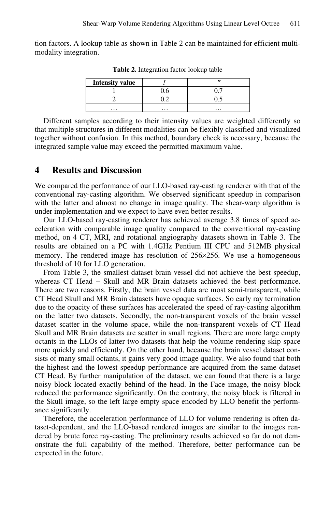tion factors. A lookup table as shown in Table 2 can be maintained for efficient multimodality integration.

| <b>Intensity value</b> |          |          |
|------------------------|----------|----------|
|                        |          |          |
|                        |          |          |
| $\cdots$               | $\cdots$ | $\cdots$ |

**Table 2.** Integration factor lookup table

Different samples according to their intensity values are weighted differently so that multiple structures in different modalities can be flexibly classified and visualized together without confusion. In this method, boundary check is necessary, because the integrated sample value may exceed the permitted maximum value.

### **4 Results and Discussion**

We compared the performance of our LLO-based ray-casting renderer with that of the conventional ray-casting algorithm. We observed significant speedup in comparison with the latter and almost no change in image quality. The shear-warp algorithm is under implementation and we expect to have even better results.

Our LLO-based ray-casting renderer has achieved average 3.8 times of speed acceleration with comparable image quality compared to the conventional ray-casting method, on 4 CT, MRI, and rotational angiography datasets shown in Table 3. The results are obtained on a PC with 1.4GHz Pentium III CPU and 512MB physical memory. The rendered image has resolution of  $256\times256$ . We use a homogeneous threshold of 10 for LLO generation.

From Table 3, the smallest dataset brain vessel did not achieve the best speedup, whereas CT Head **–** Skull and MR Brain datasets achieved the best performance. There are two reasons. Firstly, the brain vessel data are most semi-transparent, while CT Head Skull and MR Brain datasets have opaque surfaces. So early ray termination due to the opacity of these surfaces has accelerated the speed of ray-casting algorithm on the latter two datasets. Secondly, the non-transparent voxels of the brain vessel dataset scatter in the volume space, while the non-transparent voxels of CT Head Skull and MR Brain datasets are scatter in small regions. There are more large empty octants in the LLOs of latter two datasets that help the volume rendering skip space more quickly and efficiently. On the other hand, because the brain vessel dataset consists of many small octants, it gains very good image quality. We also found that both the highest and the lowest speedup performance are acquired from the same dataset CT Head. By further manipulation of the dataset, we can found that there is a large noisy block located exactly behind of the head. In the Face image, the noisy block reduced the performance significantly. On the contrary, the noisy block is filtered in the Skull image, so the left large empty space encoded by LLO benefit the performance significantly.

Therefore, the acceleration performance of LLO for volume rendering is often dataset-dependent, and the LLO-based rendered images are similar to the images rendered by brute force ray-casting. The preliminary results achieved so far do not demonstrate the full capability of the method. Therefore, better performance can be expected in the future.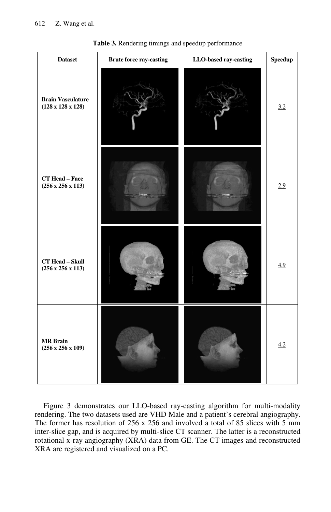| <b>Dataset</b>                                            | <b>Brute force ray-casting</b> | LLO-based ray-casting | Speedup |
|-----------------------------------------------------------|--------------------------------|-----------------------|---------|
| <b>Brain Vasculature</b><br>$(128 \times 128 \times 128)$ |                                |                       | 3.2     |
| CT Head - Face<br>$(256 \times 256 \times 113)$           |                                |                       | 2.9     |
| CT Head - Skull<br>$(256 \times 256 \times 113)$          |                                |                       | 4.9     |
| <b>MR</b> Brain<br>$(256 \times 256 \times 109)$          |                                |                       | 4.2     |

**Table 3.** Rendering timings and speedup performance

Figure 3 demonstrates our LLO-based ray-casting algorithm for multi-modality rendering. The two datasets used are VHD Male and a patient's cerebral angiography. The former has resolution of 256 x 256 and involved a total of 85 slices with 5 mm inter-slice gap, and is acquired by multi-slice CT scanner. The latter is a reconstructed rotational x-ray angiography (XRA) data from GE. The CT images and reconstructed XRA are registered and visualized on a PC.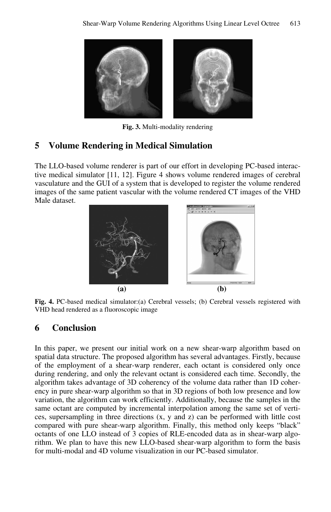

**Fig. 3.** Multi-modality rendering

### **5 Volume Rendering in Medical Simulation**

The LLO-based volume renderer is part of our effort in developing PC-based interactive medical simulator [11, 12]. Figure 4 shows volume rendered images of cerebral vasculature and the GUI of a system that is developed to register the volume rendered images of the same patient vascular with the volume rendered CT images of the VHD Male dataset.



**Fig. 4.** PC-based medical simulator:(a) Cerebral vessels; (b) Cerebral vessels registered with VHD head rendered as a fluoroscopic image

## **6 Conclusion**

In this paper, we present our initial work on a new shear-warp algorithm based on spatial data structure. The proposed algorithm has several advantages. Firstly, because of the employment of a shear-warp renderer, each octant is considered only once during rendering, and only the relevant octant is considered each time. Secondly, the algorithm takes advantage of 3D coherency of the volume data rather than 1D coherency in pure shear-warp algorithm so that in 3D regions of both low presence and low variation, the algorithm can work efficiently. Additionally, because the samples in the same octant are computed by incremental interpolation among the same set of vertices, supersampling in three directions (x, y and z) can be performed with little cost compared with pure shear-warp algorithm. Finally, this method only keeps "black" octants of one LLO instead of 3 copies of RLE-encoded data as in shear-warp algorithm. We plan to have this new LLO-based shear-warp algorithm to form the basis for multi-modal and 4D volume visualization in our PC-based simulator.